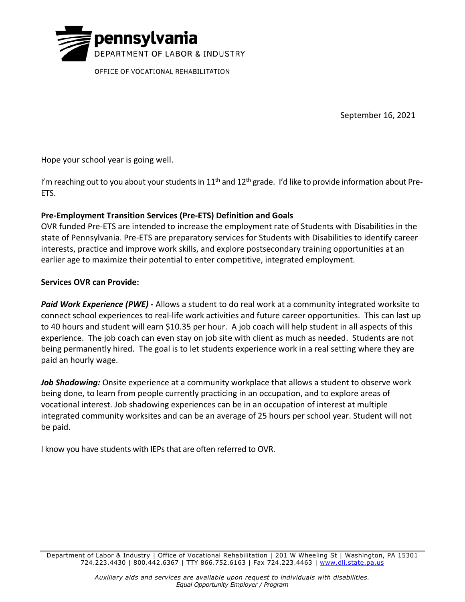

OFFICE OF VOCATIONAL REHABILITATION

September 16, 2021

Hope your school year is going well.

I'm reaching out to you about your students in  $11<sup>th</sup>$  and  $12<sup>th</sup>$  grade. I'd like to provide information about Pre-ETS.

## Pre-Employment Transition Services (Pre-ETS) Definition and Goals

OVR funded Pre-ETS are intended to increase the employment rate of Students with Disabilities in the state of Pennsylvania. Pre-ETS are preparatory services for Students with Disabilities to identify career interests, practice and improve work skills, and explore postsecondary training opportunities at an earlier age to maximize their potential to enter competitive, integrated employment.

## Services OVR can Provide:

Paid Work Experience (PWE) - Allows a student to do real work at a community integrated worksite to connect school experiences to real-life work activities and future career opportunities. This can last up to 40 hours and student will earn \$10.35 per hour. A job coach will help student in all aspects of this experience. The job coach can even stay on job site with client as much as needed. Students are not being permanently hired. The goal is to let students experience work in a real setting where they are paid an hourly wage.

Job Shadowing: Onsite experience at a community workplace that allows a student to observe work being done, to learn from people currently practicing in an occupation, and to explore areas of vocational interest. Job shadowing experiences can be in an occupation of interest at multiple integrated community worksites and can be an average of 25 hours per school year. Student will not be paid.

I know you have students with IEPs that are often referred to OVR.

Department of Labor & Industry | Office of Vocational Rehabilitation | 201 W Wheeling St | Washington, PA 15301 724.223.4430 | 800.442.6367 | TTY 866.752.6163 | Fax 724.223.4463 | www.dli.state.pa.us